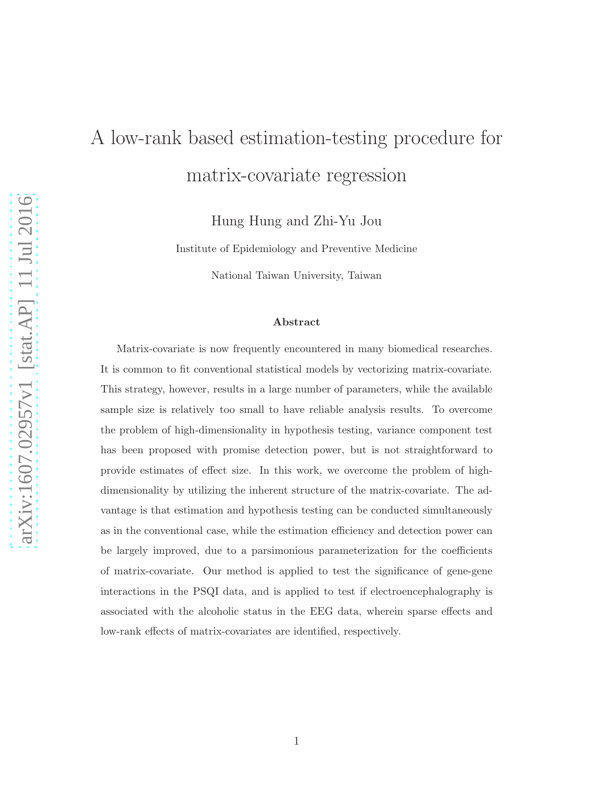# A low-rank based estimation-testing procedure for matrix-covariate regression

Hung Hung and Zhi-Yu Jou

Institute of Epidemiology and Preventive Medicine

National Taiwan University, Taiwan

#### Abstract

Matrix-covariate is now frequently encountered in many biomedical researches. It is common to fit conventional statistical models by vectorizing matrix-covariate. This strategy, however, results in a large number of parameters, while the available sample size is relatively too small to have reliable analysis results. To overcome the problem of high-dimensionality in hypothesis testing, variance component test has been proposed with promise detection power, but is not straightforward to provide estimates of effect size. In this work, we overcome the problem of highdimensionality by utilizing the inherent structure of the matrix-covariate. The advantage is that estimation and hypothesis testing can be conducted simultaneously as in the conventional case, while the estimation efficiency and detection power can be largely improved, due to a parsimonious parameterization for the coefficients of matrix-covariate. Our method is applied to test the significance of gene-gene interactions in the PSQI data, and is applied to test if electroencephalography is associated with the alcoholic status in the EEG data, wherein sparse effects and low-rank effects of matrix-covariates are identified, respectively.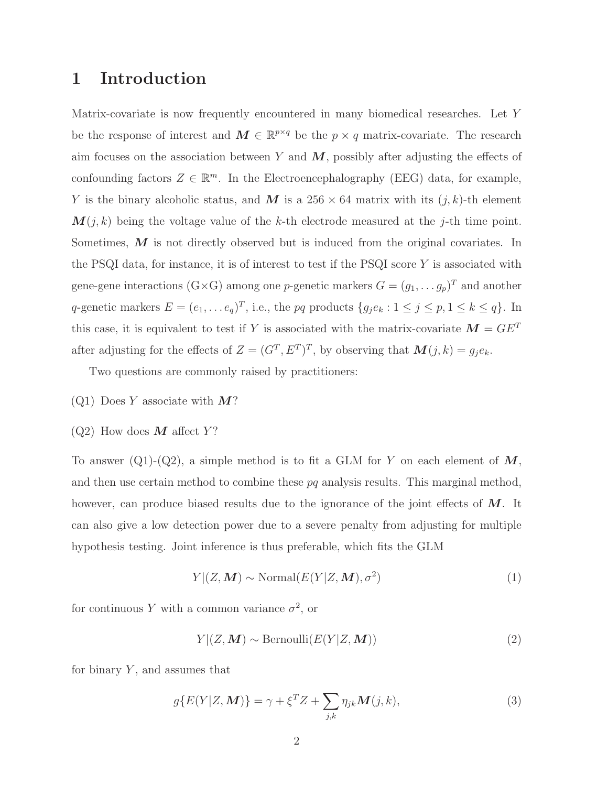# 1 Introduction

Matrix-covariate is now frequently encountered in many biomedical researches. Let Y be the response of interest and  $M \in \mathbb{R}^{p \times q}$  be the  $p \times q$  matrix-covariate. The research aim focuses on the association between Y and  $M$ , possibly after adjusting the effects of confounding factors  $Z \in \mathbb{R}^m$ . In the Electroencephalography (EEG) data, for example, Y is the binary alcoholic status, and M is a  $256 \times 64$  matrix with its  $(j, k)$ -th element  $M(j, k)$  being the voltage value of the k-th electrode measured at the j-th time point. Sometimes, M is not directly observed but is induced from the original covariates. In the PSQI data, for instance, it is of interest to test if the PSQI score  $Y$  is associated with gene-gene interactions (G×G) among one p-genetic markers  $G = (g_1, \ldots, g_p)^T$  and another q-genetic markers  $E = (e_1, \ldots e_q)^T$ , i.e., the pq products  $\{g_j e_k : 1 \le j \le p, 1 \le k \le q\}$ . In this case, it is equivalent to test if Y is associated with the matrix-covariate  $\mathbf{M} = G E^{T}$ after adjusting for the effects of  $Z = (G<sup>T</sup>, E<sup>T</sup>)<sup>T</sup>$ , by observing that  $\mathbf{M}(j,k) = g_j e_k$ .

Two questions are commonly raised by practitioners:

- $(Q1)$  Does Y associate with  $M$ ?
- $(Q2)$  How does M affect Y?

To answer (Q1)-(Q2), a simple method is to fit a GLM for Y on each element of  $M$ , and then use certain method to combine these  $pq$  analysis results. This marginal method, however, can produce biased results due to the ignorance of the joint effects of  $M$ . It can also give a low detection power due to a severe penalty from adjusting for multiple hypothesis testing. Joint inference is thus preferable, which fits the GLM

<span id="page-1-0"></span>
$$
Y|(Z, M) \sim \text{Normal}(E(Y|Z, M), \sigma^2)
$$
\n(1)

for continuous Y with a common variance  $\sigma^2$ , or

<span id="page-1-1"></span>
$$
Y|(Z, M) \sim \text{Bernoulli}(E(Y|Z, M))
$$
\n(2)

for binary  $Y$ , and assumes that

<span id="page-1-2"></span>
$$
g\{E(Y|Z, \mathbf{M})\} = \gamma + \xi^T Z + \sum_{j,k} \eta_{jk} \mathbf{M}(j,k),
$$
\n(3)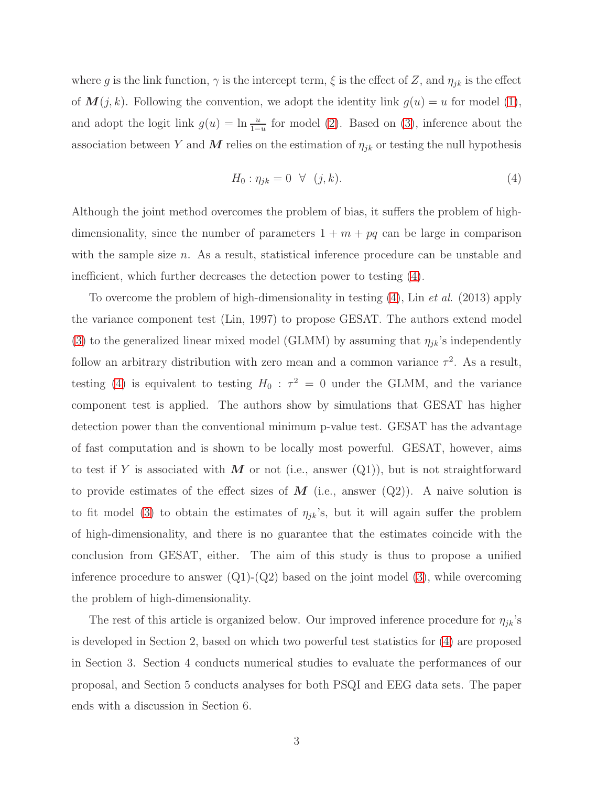where g is the link function,  $\gamma$  is the intercept term,  $\xi$  is the effect of Z, and  $\eta_{jk}$  is the effect of  $M(j,k)$ . Following the convention, we adopt the identity link  $g(u) = u$  for model [\(1\)](#page-1-0), and adopt the logit link  $g(u) = \ln \frac{u}{1-u}$  for model [\(2\)](#page-1-1). Based on [\(3\)](#page-1-2), inference about the association between Y and M relies on the estimation of  $\eta_{jk}$  or testing the null hypothesis

<span id="page-2-0"></span>
$$
H_0: \eta_{jk} = 0 \quad \forall \quad (j,k). \tag{4}
$$

Although the joint method overcomes the problem of bias, it suffers the problem of highdimensionality, since the number of parameters  $1 + m + pq$  can be large in comparison with the sample size n. As a result, statistical inference procedure can be unstable and inefficient, which further decreases the detection power to testing [\(4\)](#page-2-0).

To overcome the problem of high-dimensionality in testing [\(4\)](#page-2-0), Lin *et al.* (2013) apply the variance component test (Lin, 1997) to propose GESAT. The authors extend model [\(3\)](#page-1-2) to the generalized linear mixed model (GLMM) by assuming that  $\eta_{jk}$ 's independently follow an arbitrary distribution with zero mean and a common variance  $\tau^2$ . As a result, testing [\(4\)](#page-2-0) is equivalent to testing  $H_0$ :  $\tau^2 = 0$  under the GLMM, and the variance component test is applied. The authors show by simulations that GESAT has higher detection power than the conventional minimum p-value test. GESAT has the advantage of fast computation and is shown to be locally most powerful. GESAT, however, aims to test if Y is associated with M or not (i.e., answer  $(Q_1)$ ), but is not straightforward to provide estimates of the effect sizes of  $M$  (i.e., answer  $(Q2)$ ). A naive solution is to fit model [\(3\)](#page-1-2) to obtain the estimates of  $\eta_{jk}$ 's, but it will again suffer the problem of high-dimensionality, and there is no guarantee that the estimates coincide with the conclusion from GESAT, either. The aim of this study is thus to propose a unified inference procedure to answer  $(Q1)-(Q2)$  based on the joint model [\(3\)](#page-1-2), while overcoming the problem of high-dimensionality.

The rest of this article is organized below. Our improved inference procedure for  $\eta_{jk}$ 's is developed in Section 2, based on which two powerful test statistics for [\(4\)](#page-2-0) are proposed in Section 3. Section 4 conducts numerical studies to evaluate the performances of our proposal, and Section 5 conducts analyses for both PSQI and EEG data sets. The paper ends with a discussion in Section 6.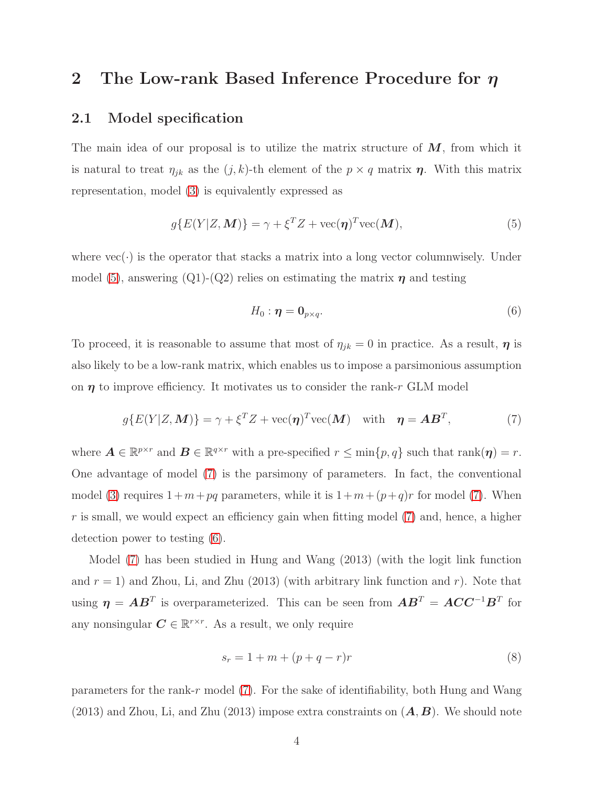# 2 The Low-rank Based Inference Procedure for  $\eta$

## 2.1 Model specification

The main idea of our proposal is to utilize the matrix structure of  $M$ , from which it is natural to treat  $\eta_{jk}$  as the  $(j, k)$ -th element of the  $p \times q$  matrix  $\eta$ . With this matrix representation, model [\(3\)](#page-1-2) is equivalently expressed as

<span id="page-3-0"></span>
$$
g\{E(Y|Z, \mathbf{M})\} = \gamma + \xi^T Z + \text{vec}(\boldsymbol{\eta})^T \text{vec}(\mathbf{M}),
$$
\n(5)

where  $\text{vec}(\cdot)$  is the operator that stacks a matrix into a long vector columnwisely. Under model [\(5\)](#page-3-0), answering (Q1)-(Q2) relies on estimating the matrix  $\eta$  and testing

<span id="page-3-2"></span>
$$
H_0: \eta = \mathbf{0}_{p \times q}.\tag{6}
$$

To proceed, it is reasonable to assume that most of  $\eta_{jk} = 0$  in practice. As a result,  $\eta$  is also likely to be a low-rank matrix, which enables us to impose a parsimonious assumption on  $\eta$  to improve efficiency. It motivates us to consider the rank-r GLM model

<span id="page-3-1"></span>
$$
g\{E(Y|Z, \mathbf{M})\} = \gamma + \xi^T Z + \text{vec}(\boldsymbol{\eta})^T \text{vec}(\mathbf{M}) \quad \text{with} \quad \boldsymbol{\eta} = \mathbf{A} \mathbf{B}^T,
$$
 (7)

where  $\mathbf{A} \in \mathbb{R}^{p \times r}$  and  $\mathbf{B} \in \mathbb{R}^{q \times r}$  with a pre-specified  $r \leq \min\{p, q\}$  such that  $\text{rank}(\boldsymbol{\eta}) = r$ . One advantage of model [\(7\)](#page-3-1) is the parsimony of parameters. In fact, the conventional model [\(3\)](#page-1-2) requires  $1+m+pq$  parameters, while it is  $1+m+(p+q)r$  for model [\(7\)](#page-3-1). When  $r$  is small, we would expect an efficiency gain when fitting model  $(7)$  and, hence, a higher detection power to testing [\(6\)](#page-3-2).

Model [\(7\)](#page-3-1) has been studied in Hung and Wang (2013) (with the logit link function and  $r = 1$ ) and Zhou, Li, and Zhu (2013) (with arbitrary link function and r). Note that using  $\eta = AB^T$  is overparameterized. This can be seen from  $AB^T = ACC^{-1}B^T$  for any nonsingular  $C \in \mathbb{R}^{r \times r}$ . As a result, we only require

<span id="page-3-3"></span>
$$
s_r = 1 + m + (p + q - r)r
$$
 (8)

parameters for the rank-r model  $(7)$ . For the sake of identifiability, both Hung and Wang  $(2013)$  and Zhou, Li, and Zhu  $(2013)$  impose extra constraints on  $(\mathbf{A}, \mathbf{B})$ . We should note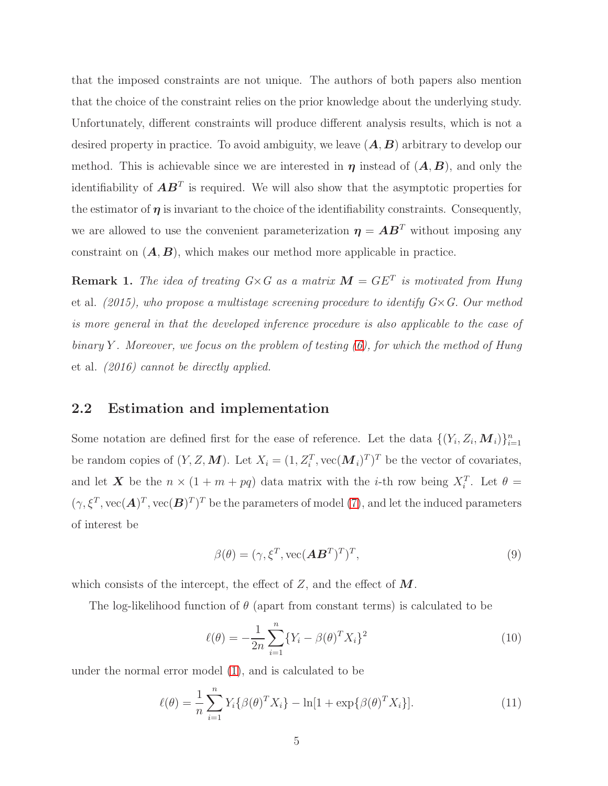that the imposed constraints are not unique. The authors of both papers also mention that the choice of the constraint relies on the prior knowledge about the underlying study. Unfortunately, different constraints will produce different analysis results, which is not a desired property in practice. To avoid ambiguity, we leave  $(A, B)$  arbitrary to develop our method. This is achievable since we are interested in  $\eta$  instead of  $(A, B)$ , and only the identifiability of  $\mathbf{A}\mathbf{B}^T$  is required. We will also show that the asymptotic properties for the estimator of  $\eta$  is invariant to the choice of the identifiability constraints. Consequently, we are allowed to use the convenient parameterization  $\eta = AB^T$  without imposing any constraint on  $(A, B)$ , which makes our method more applicable in practice.

**Remark 1.** The idea of treating  $G \times G$  as a matrix  $M = GE^T$  is motivated from Hung et al. (2015), who propose a multistage screening procedure to identify  $G \times G$ . Our method is more general in that the developed inference procedure is also applicable to the case of binary Y. Moreover, we focus on the problem of testing  $(6)$ , for which the method of Hung et al. (2016) cannot be directly applied.

## 2.2 Estimation and implementation

Some notation are defined first for the ease of reference. Let the data  $\{(Y_i, Z_i, \mathbf{M}_i)\}_{i=1}^n$ be random copies of  $(Y, Z, M)$ . Let  $X_i = (1, Z_i^T, \text{vec}(M_i)^T)^T$  be the vector of covariates, and let X be the  $n \times (1 + m + pq)$  data matrix with the *i*-th row being  $X_i^T$ . Let  $\theta =$  $(\gamma, \xi^T, \text{vec}(\boldsymbol{A})^T, \text{vec}(\boldsymbol{B})^T)^T$  be the parameters of model [\(7\)](#page-3-1), and let the induced parameters of interest be

$$
\beta(\theta) = (\gamma, \xi^T, \text{vec}(\mathbf{A}\mathbf{B}^T)^T)^T,\tag{9}
$$

which consists of the intercept, the effect of  $Z$ , and the effect of  $M$ .

The log-likelihood function of  $\theta$  (apart from constant terms) is calculated to be

$$
\ell(\theta) = -\frac{1}{2n} \sum_{i=1}^{n} \{ Y_i - \beta(\theta)^T X_i \}^2
$$
\n(10)

under the normal error model [\(1\)](#page-1-0), and is calculated to be

$$
\ell(\theta) = \frac{1}{n} \sum_{i=1}^{n} Y_i \{ \beta(\theta)^T X_i \} - \ln[1 + \exp\{ \beta(\theta)^T X_i \}].
$$
 (11)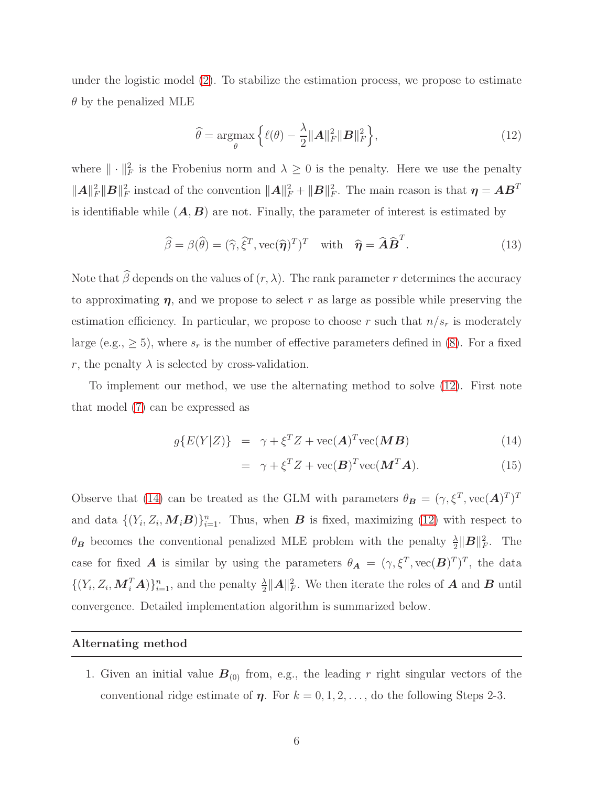under the logistic model [\(2\)](#page-1-1). To stabilize the estimation process, we propose to estimate  $\theta$  by the penalized MLE

<span id="page-5-0"></span>
$$
\widehat{\theta} = \underset{\theta}{\operatorname{argmax}} \left\{ \ell(\theta) - \frac{\lambda}{2} ||\mathbf{A}||_F^2 ||\mathbf{B}||_F^2 \right\},\tag{12}
$$

where  $\|\cdot\|_F^2$  is the Frobenius norm and  $\lambda \geq 0$  is the penalty. Here we use the penalty  $||A||_F^2 ||B||_F^2$  instead of the convention  $||A||_F^2 + ||B||_F^2$ . The main reason is that  $\eta = AB^T$ is identifiable while  $(A, B)$  are not. Finally, the parameter of interest is estimated by

$$
\widehat{\beta} = \beta(\widehat{\theta}) = (\widehat{\gamma}, \widehat{\xi}^T, \text{vec}(\widehat{\boldsymbol{\eta}})^T)^T \quad \text{with} \quad \widehat{\boldsymbol{\eta}} = \widehat{\boldsymbol{A}} \widehat{\boldsymbol{B}}^T. \tag{13}
$$

Note that  $\widehat{\beta}$  depends on the values of  $(r, \lambda)$ . The rank parameter r determines the accuracy to approximating  $\eta$ , and we propose to select r as large as possible while preserving the estimation efficiency. In particular, we propose to choose r such that  $n/s_r$  is moderately large (e.g.,  $\geq$  5), where  $s_r$  is the number of effective parameters defined in [\(8\)](#page-3-3). For a fixed r, the penalty  $\lambda$  is selected by cross-validation.

To implement our method, we use the alternating method to solve [\(12\)](#page-5-0). First note that model [\(7\)](#page-3-1) can be expressed as

<span id="page-5-1"></span>
$$
g\{E(Y|Z)\} = \gamma + \xi^T Z + \text{vec}(\mathbf{A})^T \text{vec}(\mathbf{M}\mathbf{B}) \tag{14}
$$

$$
= \gamma + \xi^T Z + \text{vec}(\boldsymbol{B})^T \text{vec}(\boldsymbol{M}^T \boldsymbol{A}). \tag{15}
$$

Observe that [\(14\)](#page-5-1) can be treated as the GLM with parameters  $\theta_B = (\gamma, \xi^T, \text{vec}(\mathbf{A})^T)^T$ and data  $\{(Y_i, Z_i, \mathbf{M}_i \mathbf{B})\}_{i=1}^n$ . Thus, when **B** is fixed, maximizing [\(12\)](#page-5-0) with respect to  $\theta_B$  becomes the conventional penalized MLE problem with the penalty  $\frac{\lambda}{2} ||B||_F^2$ . The case for fixed **A** is similar by using the parameters  $\theta_{\mathbf{A}} = (\gamma, \xi^T, \text{vec}(\mathbf{B})^T)^T$ , the data  $\{(Y_i, Z_i, \boldsymbol{M}_i^T \boldsymbol{A})\}_{i=1}^n$ , and the penalty  $\frac{\lambda}{2} ||\boldsymbol{A}||_F^2$ . We then iterate the roles of **A** and **B** until convergence. Detailed implementation algorithm is summarized below.

#### Alternating method

1. Given an initial value  $B_{(0)}$  from, e.g., the leading r right singular vectors of the conventional ridge estimate of  $\eta$ . For  $k = 0, 1, 2, \ldots$ , do the following Steps 2-3.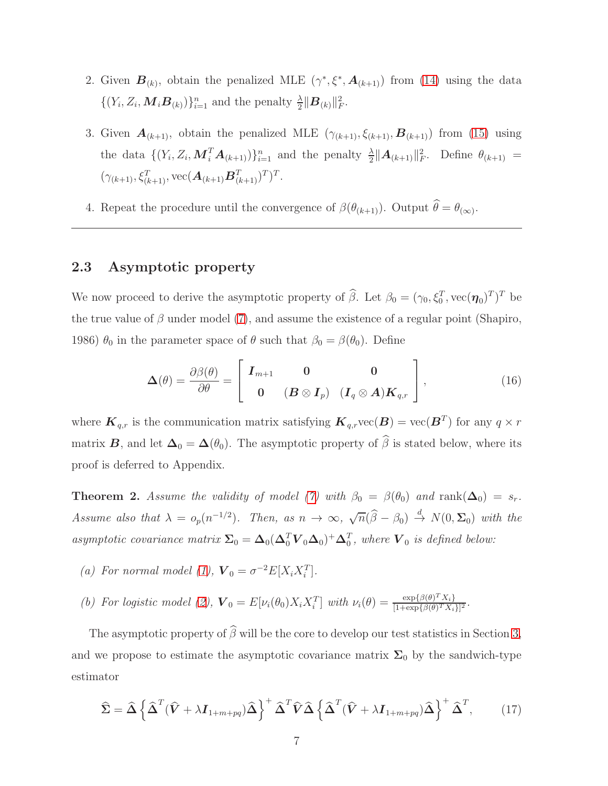- 2. Given  $\mathbf{B}_{(k)}$ , obtain the penalized MLE  $(\gamma^*, \xi^*, \mathbf{A}_{(k+1)})$  from [\(14\)](#page-5-1) using the data  $\{(Y_i, Z_i, \boldsymbol{M}_i \boldsymbol{B}_{(k)})\}_{i=1}^n$  and the penalty  $\frac{\lambda}{2} \|\boldsymbol{B}_{(k)}\|_F^2$ .
- 3. Given  $\mathbf{A}_{(k+1)}$ , obtain the penalized MLE  $(\gamma_{(k+1)}, \xi_{(k+1)}, \mathbf{B}_{(k+1)})$  from [\(15\)](#page-5-1) using the data  $\{(Y_i, Z_i, \mathbf{M}_i^T \mathbf{A}_{(k+1)})\}_{i=1}^n$  and the penalty  $\frac{\lambda}{2} ||\mathbf{A}_{(k+1)}||_F^2$ . Define  $\theta_{(k+1)} =$  $(\gamma_{(k+1)}, \xi_{(k+1)}^T, \text{vec}(\boldsymbol{A}_{(k+1)}\boldsymbol{B}_{(k+1)}^T)^T)^T.$
- 4. Repeat the procedure until the convergence of  $\beta(\theta_{(k+1)})$ . Output  $\theta = \theta_{(\infty)}$ .

# 2.3 Asymptotic property

We now proceed to derive the asymptotic property of  $\hat{\beta}$ . Let  $\beta_0 = (\gamma_0, \xi_0^T, \text{vec}(\boldsymbol{\eta}_0)^T)^T$  be the true value of  $\beta$  under model [\(7\)](#page-3-1), and assume the existence of a regular point (Shapiro, 1986)  $\theta_0$  in the parameter space of  $\theta$  such that  $\beta_0 = \beta(\theta_0)$ . Define

$$
\mathbf{\Delta}(\theta) = \frac{\partial \beta(\theta)}{\partial \theta} = \begin{bmatrix} \mathbf{I}_{m+1} & \mathbf{0} & \mathbf{0} \\ \mathbf{0} & (\mathbf{B} \otimes \mathbf{I}_p) & (\mathbf{I}_q \otimes \mathbf{A}) \mathbf{K}_{q,r} \end{bmatrix},
$$
(16)

where  $\boldsymbol{K}_{q,r}$  is the communication matrix satisfying  $\boldsymbol{K}_{q,r}$ vec $(\boldsymbol{B}) = \text{vec}(\boldsymbol{B}^T)$  for any  $q \times r$ matrix **B**, and let  $\Delta_0 = \Delta(\theta_0)$ . The asymptotic property of  $\hat{\beta}$  is stated below, where its proof is deferred to Appendix.

<span id="page-6-1"></span>**Theorem 2.** Assume the validity of model [\(7\)](#page-3-1) with  $\beta_0 = \beta(\theta_0)$  and  $\text{rank}(\Delta_0) = s_r$ . Assume also that  $\lambda = o_p(n^{-1/2})$ . Then, as  $n \to \infty$ ,  $\sqrt{n}(\hat{\beta} - \beta_0) \stackrel{d}{\to} N(0, \Sigma_0)$  with the asymptotic covariance matrix  $\Sigma_0 = \Delta_0(\Delta_0^T V_0 \Delta_0)^+ \Delta_0^T$ , where  $V_0$  is defined below:

- (a) For normal model [\(1\)](#page-1-0),  $\mathbf{V}_0 = \sigma^{-2} E[X_i X_i^T]$ .
- (b) For logistic model [\(2\)](#page-1-1),  $\mathbf{V}_0 = E[\nu_i(\theta_0) X_i X_i^T]$  with  $\nu_i(\theta) = \frac{\exp{\{\beta(\theta)^T X_i\}}}{1 + \exp{\{\beta(\theta)^T X_i\}}}$  $\frac{\exp{\{\beta(\theta)^T X_i\}}}{[1+\exp{\{\beta(\theta)^T X_i\}}]^2}.$

The asymptotic property of  $\widehat{\beta}$  will be the core to develop our test statistics in Section [3,](#page-7-0) and we propose to estimate the asymptotic covariance matrix  $\Sigma_0$  by the sandwich-type estimator

<span id="page-6-0"></span>
$$
\widehat{\Sigma} = \widehat{\Delta} \left\{ \widehat{\Delta}^T (\widehat{V} + \lambda I_{1+m+pq}) \widehat{\Delta} \right\}^+ \widehat{\Delta}^T \widehat{V} \widehat{\Delta} \left\{ \widehat{\Delta}^T (\widehat{V} + \lambda I_{1+m+pq}) \widehat{\Delta} \right\}^+ \widehat{\Delta}^T, \qquad (17)
$$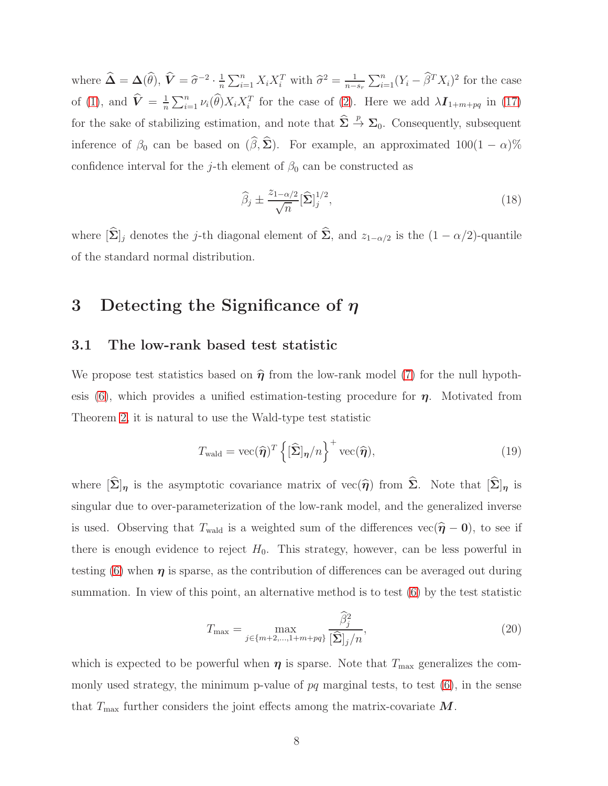where  $\widehat{\mathbf{\Delta}} = \mathbf{\Delta}(\widehat{\theta}), \widehat{\mathbf{V}} = \widehat{\sigma}^{-2} \cdot \frac{1}{n}$  $\frac{1}{n}\sum_{i=1}^{n} X_i X_i^T$  with  $\widehat{\sigma}^2 = \frac{1}{n-1}$  $n-s_r$  $\sum_{i=1}^{n} (Y_i - \widehat{\beta}^T X_i)^2$  for the case of [\(1\)](#page-1-0), and  $\hat{\boldsymbol{V}} = \frac{1}{n}$  $\frac{1}{n}\sum_{i=1}^n \nu_i(\widehat{\theta}) X_i X_i^T$  for the case of [\(2\)](#page-1-1). Here we add  $\lambda I_{1+m+pq}$  in [\(17\)](#page-6-0) for the sake of stabilizing estimation, and note that  $\hat{\Sigma} \stackrel{p}{\to} \Sigma_0$ . Consequently, subsequent inference of  $\beta_0$  can be based on  $(\widehat{\beta}, \widehat{\Sigma})$ . For example, an approximated 100(1 –  $\alpha$ )% confidence interval for the j-th element of  $\beta_0$  can be constructed as

$$
\widehat{\beta}_j \pm \frac{z_{1-\alpha/2}}{\sqrt{n}} [\widehat{\mathbf{\Sigma}}]_j^{1/2},\tag{18}
$$

<span id="page-7-0"></span>where  $[\hat{\Sigma}]_j$  denotes the j-th diagonal element of  $\hat{\Sigma}$ , and  $z_{1-\alpha/2}$  is the  $(1 - \alpha/2)$ -quantile of the standard normal distribution.

# 3 Detecting the Significance of  $\eta$

## 3.1 The low-rank based test statistic

We propose test statistics based on  $\hat{\eta}$  from the low-rank model [\(7\)](#page-3-1) for the null hypoth-esis [\(6\)](#page-3-2), which provides a unified estimation-testing procedure for  $\eta$ . Motivated from Theorem [2,](#page-6-1) it is natural to use the Wald-type test statistic

$$
T_{\text{wald}} = \text{vec}(\widehat{\boldsymbol{\eta}})^T \left\{ [\widehat{\boldsymbol{\Sigma}}]_{\boldsymbol{\eta}} / n \right\}^+ \text{vec}(\widehat{\boldsymbol{\eta}}), \tag{19}
$$

where  $[\hat{\Sigma}]_{\eta}$  is the asymptotic covariance matrix of vec $(\hat{\eta})$  from  $\hat{\Sigma}$ . Note that  $[\hat{\Sigma}]_{\eta}$  is singular due to over-parameterization of the low-rank model, and the generalized inverse is used. Observing that  $T_{\text{wald}}$  is a weighted sum of the differences vec( $\hat{\eta} - 0$ ), to see if there is enough evidence to reject  $H_0$ . This strategy, however, can be less powerful in testing [\(6\)](#page-3-2) when  $\eta$  is sparse, as the contribution of differences can be averaged out during summation. In view of this point, an alternative method is to test [\(6\)](#page-3-2) by the test statistic

<span id="page-7-1"></span>
$$
T_{\max} = \max_{j \in \{m+2,\dots,1+m+pq\}} \frac{\hat{\beta}_j^2}{[\hat{\Sigma}]_j/n},\tag{20}
$$

which is expected to be powerful when  $\eta$  is sparse. Note that  $T_{\text{max}}$  generalizes the commonly used strategy, the minimum p-value of  $pq$  marginal tests, to test  $(6)$ , in the sense that  $T_{\text{max}}$  further considers the joint effects among the matrix-covariate  $M$ .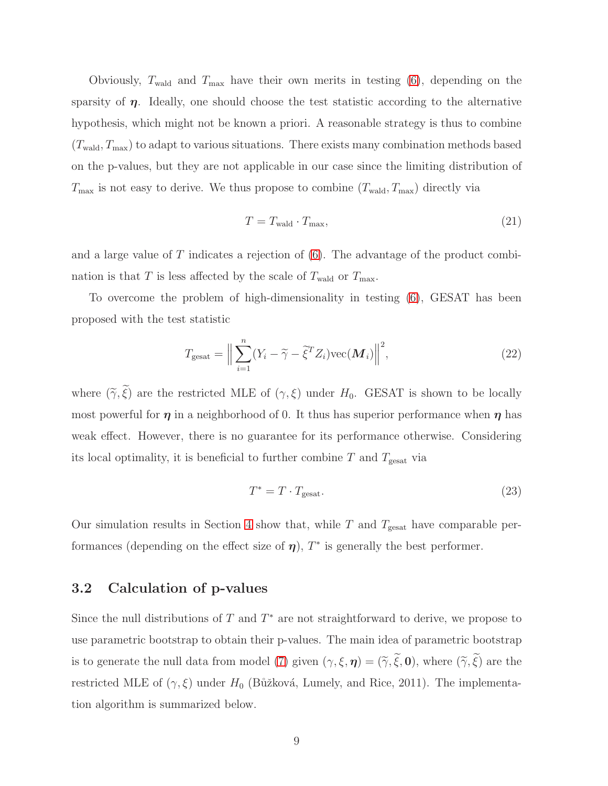Obviously,  $T_{\text{wald}}$  and  $T_{\text{max}}$  have their own merits in testing [\(6\)](#page-3-2), depending on the sparsity of  $\eta$ . Ideally, one should choose the test statistic according to the alternative hypothesis, which might not be known a priori. A reasonable strategy is thus to combine  $(T_{\text{wald}}, T_{\text{max}})$  to adapt to various situations. There exists many combination methods based on the p-values, but they are not applicable in our case since the limiting distribution of  $T_{\text{max}}$  is not easy to derive. We thus propose to combine  $(T_{\text{wald}}, T_{\text{max}})$  directly via

$$
T = T_{\text{wald}} \cdot T_{\text{max}},\tag{21}
$$

and a large value of  $T$  indicates a rejection of  $(6)$ . The advantage of the product combination is that T is less affected by the scale of  $T_{\text{wald}}$  or  $T_{\text{max}}$ .

To overcome the problem of high-dimensionality in testing [\(6\)](#page-3-2), GESAT has been proposed with the test statistic

$$
T_{\text{gesat}} = \Big\| \sum_{i=1}^{n} (Y_i - \widetilde{\gamma} - \widetilde{\xi}^T Z_i) \text{vec}(\boldsymbol{M}_i) \Big\|^2, \tag{22}
$$

where  $(\widetilde{\gamma}, \widetilde{\xi})$  are the restricted MLE of  $(\gamma, \xi)$  under  $H_0$ . GESAT is shown to be locally most powerful for  $\eta$  in a neighborhood of 0. It thus has superior performance when  $\eta$  has weak effect. However, there is no guarantee for its performance otherwise. Considering its local optimality, it is beneficial to further combine  $T$  and  $T_{\text{gesat}}$  via

$$
T^* = T \cdot T_{\text{gesat}}.\tag{23}
$$

Our simulation results in Section [4](#page-10-0) show that, while T and  $T_{\text{gesat}}$  have comparable performances (depending on the effect size of  $\eta$ ),  $T^*$  is generally the best performer.

# 3.2 Calculation of p-values

Since the null distributions of  $T$  and  $T^*$  are not straightforward to derive, we propose to use parametric bootstrap to obtain their p-values. The main idea of parametric bootstrap is to generate the null data from model [\(7\)](#page-3-1) given  $(\gamma, \xi, \eta) = (\tilde{\gamma}, \tilde{\xi}, 0)$ , where  $(\tilde{\gamma}, \tilde{\xi})$  are the restricted MLE of  $(\gamma, \xi)$  under  $H_0$  (Bůžková, Lumely, and Rice, 2011). The implementation algorithm is summarized below.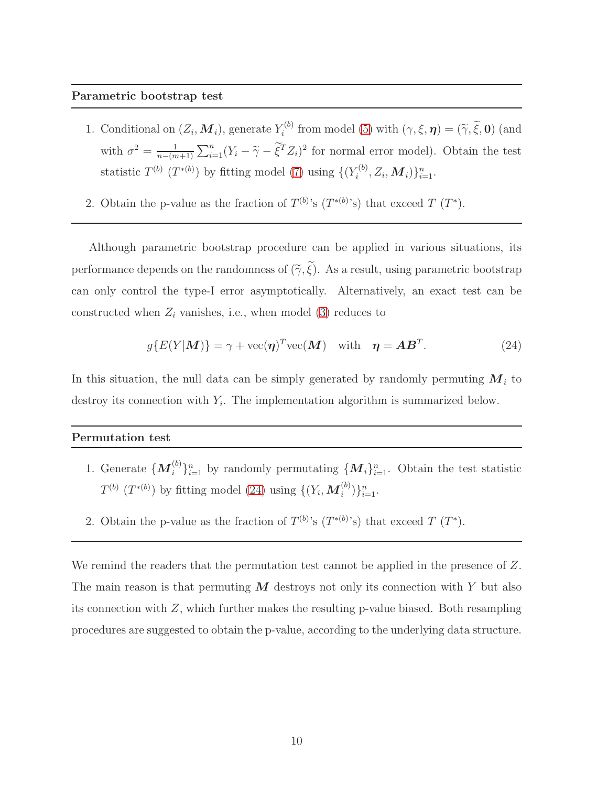#### Parametric bootstrap test

- 1. Conditional on  $(Z_i, M_i)$ , generate  $Y_i^{(b)}$  $i^{(0)}$  from model [\(5\)](#page-3-0) with  $(\gamma, \xi, \boldsymbol{\eta}) = (\tilde{\gamma}, \xi, \boldsymbol{0})$  (and with  $\sigma^2 = \frac{1}{n - (n-1)}$  $n-(m+1)$  $\sum_{i=1}^{n} (Y_i - \tilde{\gamma} - \tilde{\xi}^T Z_i)^2$  for normal error model). Obtain the test statistic  $T^{(b)}$   $(T^{*(b)})$  by fitting model [\(7\)](#page-3-1) using  $\{(Y_i^{(b)}\)$  $\{ \zeta^{(b)}, Z_i, \bm{M}_i \} \}_{i=1}^n.$
- 2. Obtain the p-value as the fraction of  $T^{(b)}$ 's  $(T^{*(b)}$ 's) that exceed  $T(T^*)$ .

Although parametric bootstrap procedure can be applied in various situations, its performance depends on the randomness of  $(\widetilde{\gamma}, \widetilde{\xi})$ . As a result, using parametric bootstrap can only control the type-I error asymptotically. Alternatively, an exact test can be constructed when  $Z_i$  vanishes, i.e., when model [\(3\)](#page-1-2) reduces to

<span id="page-9-0"></span>
$$
g\{E(Y|M)\} = \gamma + \text{vec}(\boldsymbol{\eta})^T \text{vec}(\boldsymbol{M}) \quad \text{with} \quad \boldsymbol{\eta} = \boldsymbol{A} \boldsymbol{B}^T. \tag{24}
$$

In this situation, the null data can be simply generated by randomly permuting  $M_i$  to destroy its connection with  $Y_i$ . The implementation algorithm is summarized below.

#### Permutation test

- 1. Generate  $\{M_i^{(b)}\}_{i=1}^n$  by randomly permutating  $\{M_i\}_{i=1}^n$ . Obtain the test statistic  $T^{(b)}$  ( $T^{*(b)}$ ) by fitting model [\(24\)](#page-9-0) using  $\{(Y_i, \mathbf{M}_i^{(b)})\}_{i=1}^n$ .
- 2. Obtain the p-value as the fraction of  $T^{(b)}$ 's  $(T^{*(b)}$ 's) that exceed  $T(T^*)$ .

We remind the readers that the permutation test cannot be applied in the presence of Z. The main reason is that permuting  $M$  destroys not only its connection with Y but also its connection with  $Z$ , which further makes the resulting p-value biased. Both resampling procedures are suggested to obtain the p-value, according to the underlying data structure.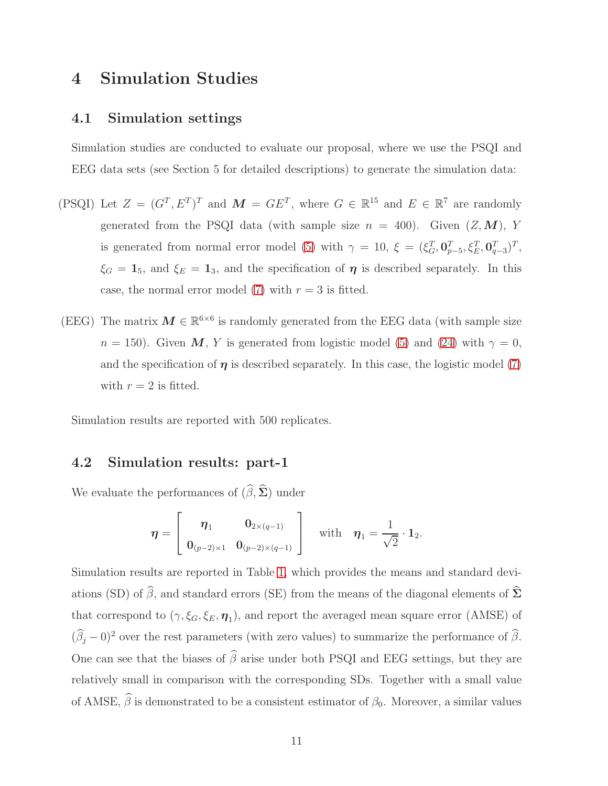# <span id="page-10-0"></span>4 Simulation Studies

## 4.1 Simulation settings

Simulation studies are conducted to evaluate our proposal, where we use the PSQI and EEG data sets (see Section 5 for detailed descriptions) to generate the simulation data:

- (PSQI) Let  $Z = (G^T, E^T)^T$  and  $\mathbf{M} = GE^T$ , where  $G \in \mathbb{R}^{15}$  and  $E \in \mathbb{R}^7$  are randomly generated from the PSQI data (with sample size  $n = 400$ ). Given  $(Z, M)$ , Y is generated from normal error model [\(5\)](#page-3-0) with  $\gamma = 10$ ,  $\xi = (\xi_G^T, \mathbf{0}_{p-5}^T, \xi_E^T, \mathbf{0}_{q-3}^T)^T$ ,  $\xi_G = 1_5$ , and  $\xi_E = 1_3$ , and the specification of  $\eta$  is described separately. In this case, the normal error model [\(7\)](#page-3-1) with  $r = 3$  is fitted.
- (EEG) The matrix  $M \in \mathbb{R}^{6 \times 6}$  is randomly generated from the EEG data (with sample size  $n = 150$ ). Given M, Y is generated from logistic model [\(5\)](#page-3-0) and [\(24\)](#page-9-0) with  $\gamma = 0$ , and the specification of  $\eta$  is described separately. In this case, the logistic model [\(7\)](#page-3-1) with  $r = 2$  is fitted.

Simulation results are reported with 500 replicates.

# 4.2 Simulation results: part-1

We evaluate the performances of  $(\widehat{\beta}, \widehat{\Sigma})$  under

$$
\boldsymbol{\eta} = \left[\begin{array}{cc} \boldsymbol{\eta}_1 & \mathbf{0}_{2\times (q-1)} \\ \mathbf{0}_{(p-2)\times 1} & \mathbf{0}_{(p-2)\times (q-1)} \end{array}\right] \quad \text{with} \quad \boldsymbol{\eta}_1 = \frac{1}{\sqrt{2}} \cdot \mathbf{1}_2.
$$

Simulation results are reported in Table [1,](#page-18-0) which provides the means and standard deviations (SD) of  $\widehat{\beta}$ , and standard errors (SE) from the means of the diagonal elements of  $\widehat{\Sigma}$ that correspond to  $(\gamma, \xi_G, \xi_E, \eta_1)$ , and report the averaged mean square error (AMSE) of  $(\widehat{\beta}_j - 0)^2$  over the rest parameters (with zero values) to summarize the performance of  $\widehat{\beta}$ . One can see that the biases of  $\widehat{\beta}$  arise under both PSQI and EEG settings, but they are relatively small in comparison with the corresponding SDs. Together with a small value of AMSE,  $\hat{\beta}$  is demonstrated to be a consistent estimator of  $\beta_0$ . Moreover, a similar values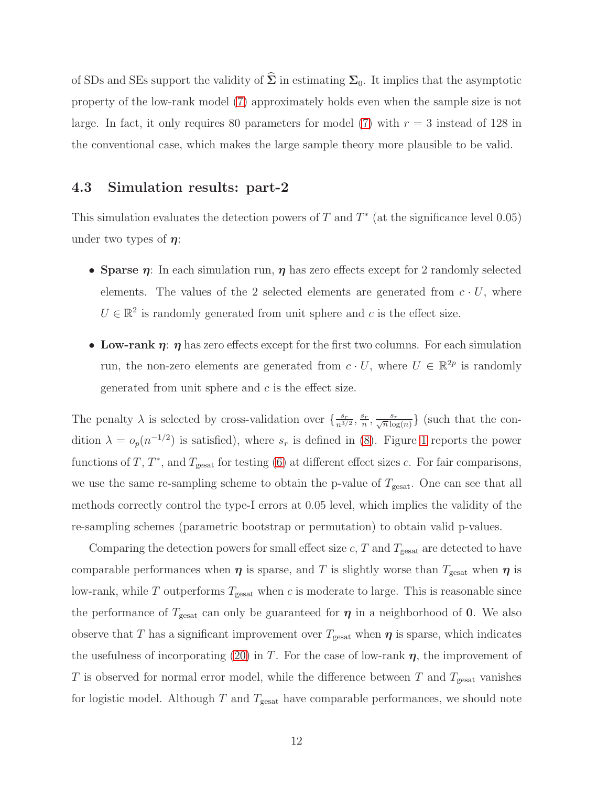of SDs and SEs support the validity of  $\hat{\Sigma}$  in estimating  $\Sigma_0$ . It implies that the asymptotic property of the low-rank model [\(7\)](#page-3-1) approximately holds even when the sample size is not large. In fact, it only requires 80 parameters for model [\(7\)](#page-3-1) with  $r = 3$  instead of 128 in the conventional case, which makes the large sample theory more plausible to be valid.

# 4.3 Simulation results: part-2

This simulation evaluates the detection powers of T and  $T^*$  (at the significance level 0.05) under two types of  $\eta$ :

- Sparse  $\eta$ : In each simulation run,  $\eta$  has zero effects except for 2 randomly selected elements. The values of the 2 selected elements are generated from  $c \cdot U$ , where  $U \in \mathbb{R}^2$  is randomly generated from unit sphere and c is the effect size.
- Low-rank  $\eta$ :  $\eta$  has zero effects except for the first two columns. For each simulation run, the non-zero elements are generated from  $c \cdot U$ , where  $U \in \mathbb{R}^{2p}$  is randomly generated from unit sphere and  $c$  is the effect size.

The penalty  $\lambda$  is selected by cross-validation over  $\{\frac{s_r}{n^{3/2}}, \frac{s_r}{n}\}$  $\frac{s_r}{n}, \frac{s_r}{\sqrt{n}\log(n)}\}$  (such that the condition  $\lambda = o_p(n^{-1/2})$  is satisfied), where  $s_r$  is defined in [\(8\)](#page-3-3). Figure [1](#page-17-0) reports the power functions of T,  $T^*$ , and  $T_{\text{gesat}}$  for testing [\(6\)](#page-3-2) at different effect sizes c. For fair comparisons, we use the same re-sampling scheme to obtain the p-value of  $T_{\text{gesat}}$ . One can see that all methods correctly control the type-I errors at 0.05 level, which implies the validity of the re-sampling schemes (parametric bootstrap or permutation) to obtain valid p-values.

Comparing the detection powers for small effect size  $c$ ,  $T$  and  $T_{\text{gesat}}$  are detected to have comparable performances when  $\eta$  is sparse, and T is slightly worse than  $T_{\text{gesat}}$  when  $\eta$  is low-rank, while  $T$  outperforms  $T_{\text{gesat}}$  when  $c$  is moderate to large. This is reasonable since the performance of  $T_{\text{gesat}}$  can only be guaranteed for  $\eta$  in a neighborhood of 0. We also observe that T has a significant improvement over  $T_{\text{gesat}}$  when  $\eta$  is sparse, which indicates the usefulness of incorporating [\(20\)](#page-7-1) in T. For the case of low-rank  $\eta$ , the improvement of T is observed for normal error model, while the difference between T and  $T_{\text{gesat}}$  vanishes for logistic model. Although T and  $T_{\text{gesat}}$  have comparable performances, we should note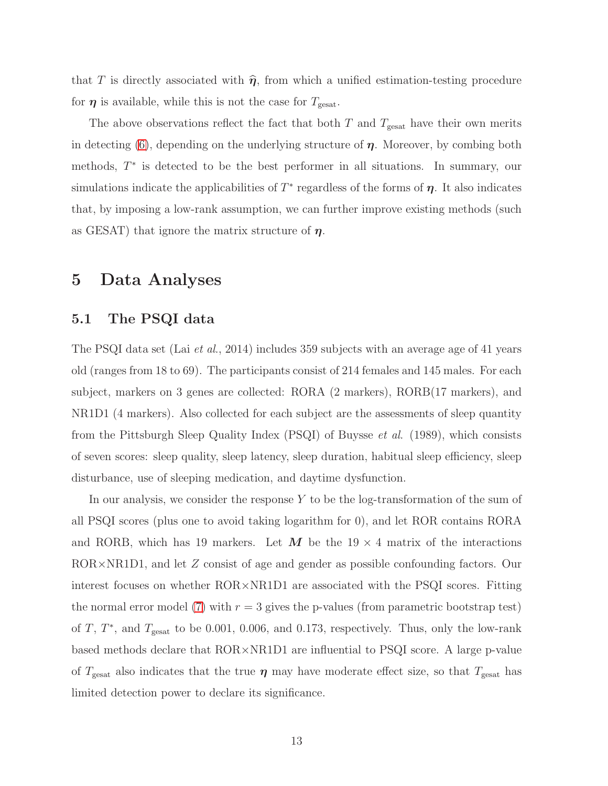that T is directly associated with  $\hat{\eta}$ , from which a unified estimation-testing procedure for  $\eta$  is available, while this is not the case for  $T_{\text{gesat}}$ .

The above observations reflect the fact that both  $T$  and  $T_{\text{gesat}}$  have their own merits in detecting [\(6\)](#page-3-2), depending on the underlying structure of  $\eta$ . Moreover, by combing both methods, T ∗ is detected to be the best performer in all situations. In summary, our simulations indicate the applicabilities of  $T^*$  regardless of the forms of  $\eta$ . It also indicates that, by imposing a low-rank assumption, we can further improve existing methods (such as GESAT) that ignore the matrix structure of  $\eta$ .

# 5 Data Analyses

## 5.1 The PSQI data

The PSQI data set (Lai et al., 2014) includes 359 subjects with an average age of 41 years old (ranges from 18 to 69). The participants consist of 214 females and 145 males. For each subject, markers on 3 genes are collected: RORA (2 markers), RORB(17 markers), and NR1D1 (4 markers). Also collected for each subject are the assessments of sleep quantity from the Pittsburgh Sleep Quality Index (PSQI) of Buysse et al. (1989), which consists of seven scores: sleep quality, sleep latency, sleep duration, habitual sleep efficiency, sleep disturbance, use of sleeping medication, and daytime dysfunction.

In our analysis, we consider the response Y to be the log-transformation of the sum of all PSQI scores (plus one to avoid taking logarithm for 0), and let ROR contains RORA and RORB, which has 19 markers. Let M be the  $19 \times 4$  matrix of the interactions ROR×NR1D1, and let Z consist of age and gender as possible confounding factors. Our interest focuses on whether ROR×NR1D1 are associated with the PSQI scores. Fitting the normal error model [\(7\)](#page-3-1) with  $r = 3$  gives the p-values (from parametric bootstrap test) of T,  $T^*$ , and  $T_{\text{gesat}}$  to be 0.001, 0.006, and 0.173, respectively. Thus, only the low-rank based methods declare that ROR×NR1D1 are influential to PSQI score. A large p-value of  $T_{\text{gesat}}$  also indicates that the true  $\eta$  may have moderate effect size, so that  $T_{\text{gesat}}$  has limited detection power to declare its significance.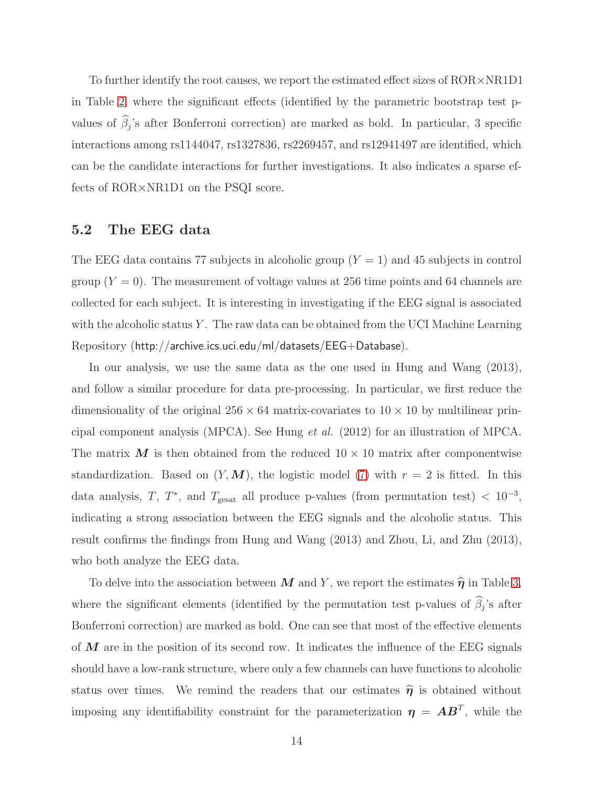To further identify the root causes, we report the estimated effect sizes of  $ROR \times NR1D1$ in Table [2,](#page-19-0) where the significant effects (identified by the parametric bootstrap test pvalues of  $\beta_j$ 's after Bonferroni correction) are marked as bold. In particular, 3 specific interactions among rs1144047, rs1327836, rs2269457, and rs12941497 are identified, which can be the candidate interactions for further investigations. It also indicates a sparse effects of ROR×NR1D1 on the PSQI score.

## 5.2 The EEG data

The EEG data contains 77 subjects in alcoholic group  $(Y = 1)$  and 45 subjects in control group  $(Y = 0)$ . The measurement of voltage values at 256 time points and 64 channels are collected for each subject. It is interesting in investigating if the EEG signal is associated with the alcoholic status Y. The raw data can be obtained from the UCI Machine Learning Repository (http://archive.ics.uci.edu/ml/datasets/EEG+Database).

In our analysis, we use the same data as the one used in Hung and Wang (2013), and follow a similar procedure for data pre-processing. In particular, we first reduce the dimensionality of the original  $256 \times 64$  matrix-covariates to  $10 \times 10$  by multilinear principal component analysis (MPCA). See Hung et al. (2012) for an illustration of MPCA. The matrix  $\boldsymbol{M}$  is then obtained from the reduced  $10 \times 10$  matrix after componentwise standardization. Based on  $(Y, M)$ , the logistic model [\(7\)](#page-3-1) with  $r = 2$  is fitted. In this data analysis, T, T<sup>\*</sup>, and T<sub>gesat</sub> all produce p-values (from permutation test) <  $10^{-3}$ , indicating a strong association between the EEG signals and the alcoholic status. This result confirms the findings from Hung and Wang (2013) and Zhou, Li, and Zhu (2013), who both analyze the EEG data.

To delve into the association between M and Y, we report the estimates  $\hat{\eta}$  in Table [3,](#page-20-0) where the significant elements (identified by the permutation test p-values of  $\beta_j$ 's after Bonferroni correction) are marked as bold. One can see that most of the effective elements of  $M$  are in the position of its second row. It indicates the influence of the EEG signals should have a low-rank structure, where only a few channels can have functions to alcoholic status over times. We remind the readers that our estimates  $\hat{\eta}$  is obtained without imposing any identifiability constraint for the parameterization  $\eta = AB^T$ , while the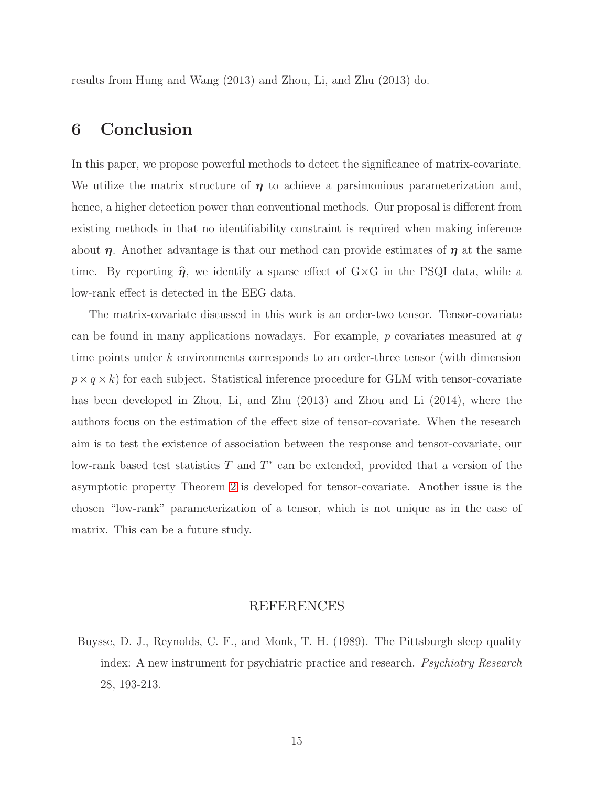results from Hung and Wang (2013) and Zhou, Li, and Zhu (2013) do.

# 6 Conclusion

In this paper, we propose powerful methods to detect the significance of matrix-covariate. We utilize the matrix structure of  $\eta$  to achieve a parsimonious parameterization and, hence, a higher detection power than conventional methods. Our proposal is different from existing methods in that no identifiability constraint is required when making inference about  $\eta$ . Another advantage is that our method can provide estimates of  $\eta$  at the same time. By reporting  $\hat{\eta}$ , we identify a sparse effect of G×G in the PSQI data, while a low-rank effect is detected in the EEG data.

The matrix-covariate discussed in this work is an order-two tensor. Tensor-covariate can be found in many applications nowadays. For example,  $p$  covariates measured at  $q$ time points under k environments corresponds to an order-three tensor (with dimension  $p \times q \times k$ ) for each subject. Statistical inference procedure for GLM with tensor-covariate has been developed in Zhou, Li, and Zhu (2013) and Zhou and Li (2014), where the authors focus on the estimation of the effect size of tensor-covariate. When the research aim is to test the existence of association between the response and tensor-covariate, our low-rank based test statistics  $T$  and  $T^*$  can be extended, provided that a version of the asymptotic property Theorem [2](#page-6-1) is developed for tensor-covariate. Another issue is the chosen "low-rank" parameterization of a tensor, which is not unique as in the case of matrix. This can be a future study.

## REFERENCES

Buysse, D. J., Reynolds, C. F., and Monk, T. H. (1989). The Pittsburgh sleep quality index: A new instrument for psychiatric practice and research. *Psychiatry Research* 28, 193-213.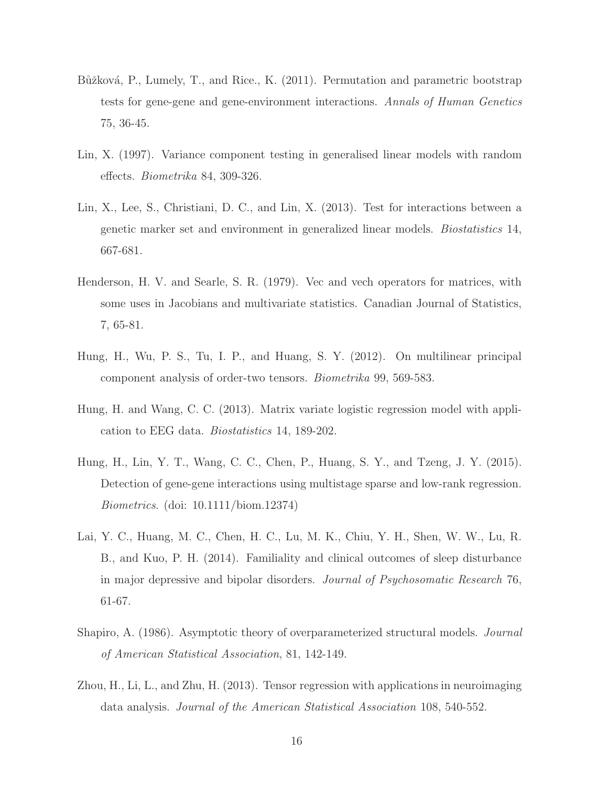- Bůžková, P., Lumely, T., and Rice., K. (2011). Permutation and parametric bootstrap tests for gene-gene and gene-environment interactions. Annals of Human Genetics 75, 36-45.
- Lin, X. (1997). Variance component testing in generalised linear models with random effects. Biometrika 84, 309-326.
- Lin, X., Lee, S., Christiani, D. C., and Lin, X. (2013). Test for interactions between a genetic marker set and environment in generalized linear models. Biostatistics 14, 667-681.
- Henderson, H. V. and Searle, S. R. (1979). Vec and vech operators for matrices, with some uses in Jacobians and multivariate statistics. Canadian Journal of Statistics, 7, 65-81.
- Hung, H., Wu, P. S., Tu, I. P., and Huang, S. Y. (2012). On multilinear principal component analysis of order-two tensors. Biometrika 99, 569-583.
- Hung, H. and Wang, C. C. (2013). Matrix variate logistic regression model with application to EEG data. Biostatistics 14, 189-202.
- Hung, H., Lin, Y. T., Wang, C. C., Chen, P., Huang, S. Y., and Tzeng, J. Y. (2015). Detection of gene-gene interactions using multistage sparse and low-rank regression. Biometrics. (doi: 10.1111/biom.12374)
- Lai, Y. C., Huang, M. C., Chen, H. C., Lu, M. K., Chiu, Y. H., Shen, W. W., Lu, R. B., and Kuo, P. H. (2014). Familiality and clinical outcomes of sleep disturbance in major depressive and bipolar disorders. Journal of Psychosomatic Research 76, 61-67.
- Shapiro, A. (1986). Asymptotic theory of overparameterized structural models. Journal of American Statistical Association, 81, 142-149.
- Zhou, H., Li, L., and Zhu, H. (2013). Tensor regression with applications in neuroimaging data analysis. Journal of the American Statistical Association 108, 540-552.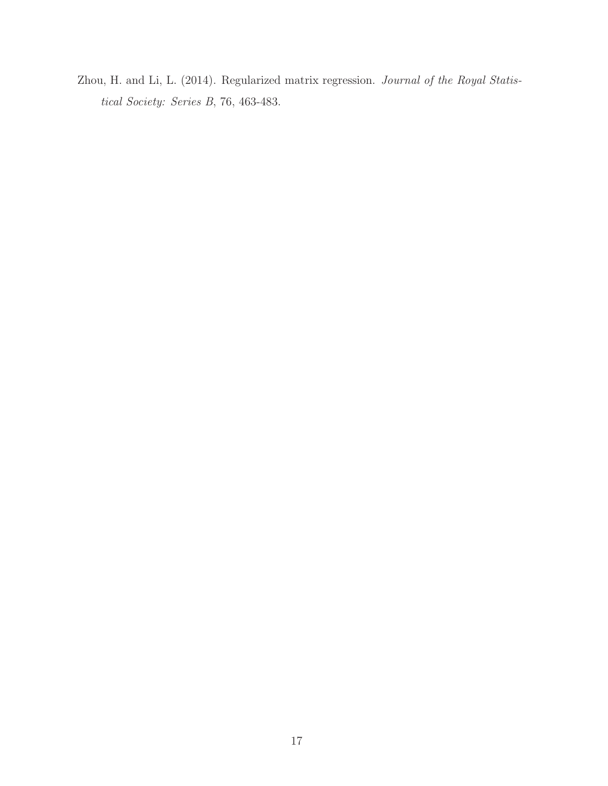Zhou, H. and Li, L. (2014). Regularized matrix regression. Journal of the Royal Statistical Society: Series B, 76, 463-483.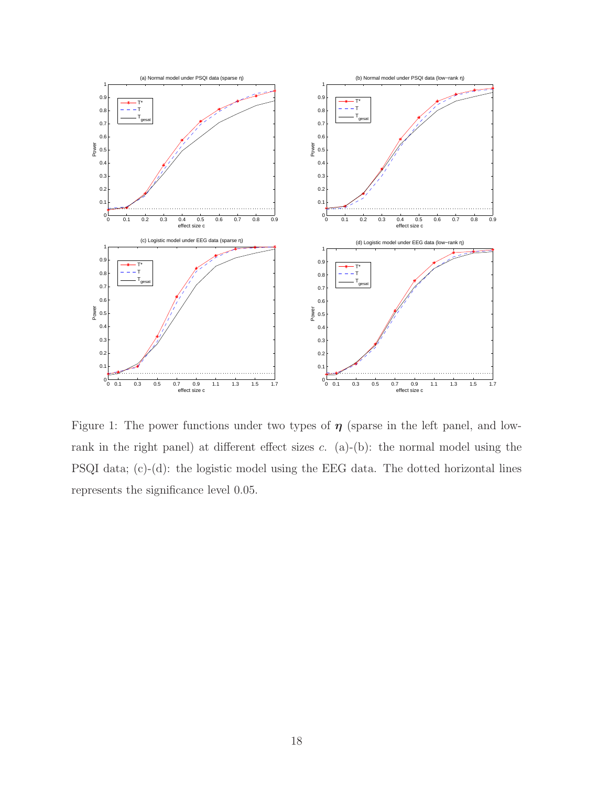

<span id="page-17-0"></span>Figure 1: The power functions under two types of  $\eta$  (sparse in the left panel, and lowrank in the right panel) at different effect sizes  $c$ . (a)-(b): the normal model using the PSQI data; (c)-(d): the logistic model using the EEG data. The dotted horizontal lines represents the significance level 0.05.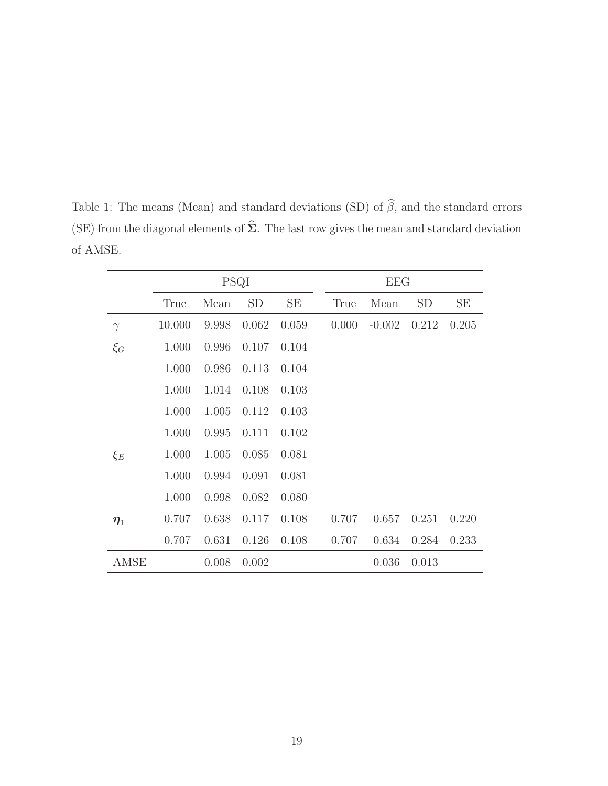|          | PSQI   |       |           |       | <b>EEG</b> |          |           |       |  |
|----------|--------|-------|-----------|-------|------------|----------|-----------|-------|--|
|          | True   | Mean  | <b>SD</b> | SE    | True       | Mean     | <b>SD</b> | SE    |  |
| $\gamma$ | 10.000 | 9.998 | 0.062     | 0.059 | 0.000      | $-0.002$ | 0.212     | 0.205 |  |
| $\xi_G$  | 1.000  | 0.996 | 0.107     | 0.104 |            |          |           |       |  |
|          | 1.000  | 0.986 | 0.113     | 0.104 |            |          |           |       |  |
|          | 1.000  | 1.014 | 0.108     | 0.103 |            |          |           |       |  |
|          | 1.000  | 1.005 | 0.112     | 0.103 |            |          |           |       |  |
|          | 1.000  | 0.995 | 0.111     | 0.102 |            |          |           |       |  |
| $\xi_E$  | 1.000  | 1.005 | 0.085     | 0.081 |            |          |           |       |  |
|          | 1.000  | 0.994 | 0.091     | 0.081 |            |          |           |       |  |
|          | 1.000  | 0.998 | 0.082     | 0.080 |            |          |           |       |  |
| $\eta_1$ | 0.707  | 0.638 | 0.117     | 0.108 | 0.707      | 0.657    | 0.251     | 0.220 |  |
|          | 0.707  | 0.631 | 0.126     | 0.108 | 0.707      | 0.634    | 0.284     | 0.233 |  |
| AMSE     |        | 0.008 | 0.002     |       |            | 0.036    | 0.013     |       |  |

<span id="page-18-0"></span>Table 1: The means (Mean) and standard deviations (SD) of  $\widehat{\beta}$ , and the standard errors (SE) from the diagonal elements of  $\hat{\Sigma}$ . The last row gives the mean and standard deviation of AMSE.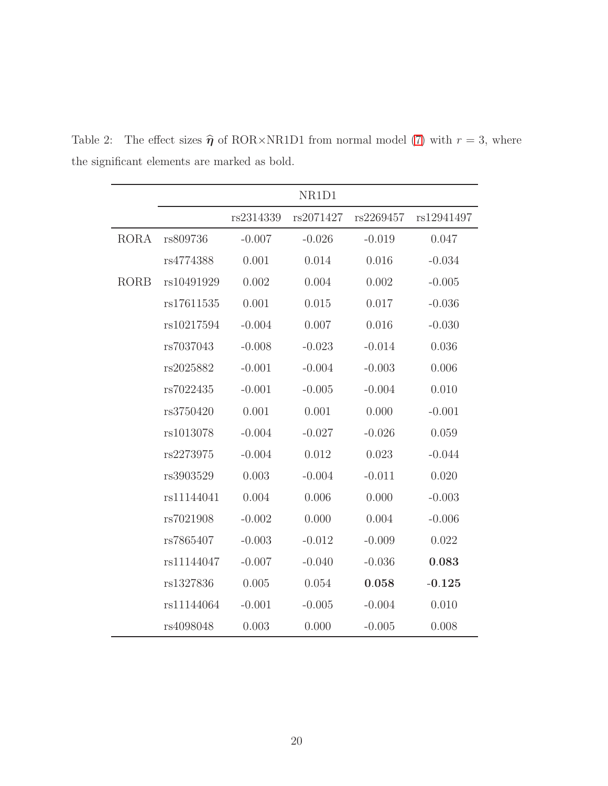<span id="page-19-0"></span>

|             |            |           | NR1D1     |           |            |
|-------------|------------|-----------|-----------|-----------|------------|
|             |            | rs2314339 | rs2071427 | rs2269457 | rs12941497 |
| <b>RORA</b> | rs809736   | $-0.007$  | $-0.026$  | $-0.019$  | 0.047      |
|             | rs4774388  | 0.001     | 0.014     | 0.016     | $-0.034$   |
| <b>RORB</b> | rs10491929 | 0.002     | 0.004     | 0.002     | $-0.005$   |
|             | rs17611535 | 0.001     | 0.015     | 0.017     | $-0.036$   |
|             | rs10217594 | $-0.004$  | 0.007     | 0.016     | $-0.030$   |
|             | rs7037043  | $-0.008$  | $-0.023$  | $-0.014$  | 0.036      |
|             | rs2025882  | $-0.001$  | $-0.004$  | $-0.003$  | 0.006      |
|             | rs7022435  | $-0.001$  | $-0.005$  | $-0.004$  | 0.010      |
|             | rs3750420  | 0.001     | 0.001     | 0.000     | $-0.001$   |
|             | rs1013078  | $-0.004$  | $-0.027$  | $-0.026$  | 0.059      |
|             | rs2273975  | $-0.004$  | 0.012     | 0.023     | $-0.044$   |
|             | rs3903529  | 0.003     | $-0.004$  | $-0.011$  | 0.020      |
|             | rs11144041 | 0.004     | 0.006     | 0.000     | $-0.003$   |
|             | rs7021908  | $-0.002$  | 0.000     | 0.004     | $-0.006$   |
|             | rs7865407  | $-0.003$  | $-0.012$  | $-0.009$  | 0.022      |
|             | rs11144047 | $-0.007$  | $-0.040$  | $-0.036$  | 0.083      |
|             | rs1327836  | 0.005     | 0.054     | 0.058     | $-0.125$   |
|             | rs11144064 | $-0.001$  | $-0.005$  | $-0.004$  | 0.010      |
|             | rs4098048  | 0.003     | 0.000     | $-0.005$  | 0.008      |

Table 2: The effect sizes  $\hat{\eta}$  of ROR×NR1D1 from normal model [\(7\)](#page-3-1) with  $r = 3$ , where the significant elements are marked as bold.